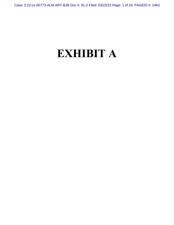Case: 2:22-cv-00773-ALM-ART-BJB Doc #: 91-2 Filed: 03/23/22 Page: 1 of 24 PAGEID #: 1463

# **EXHIBIT A**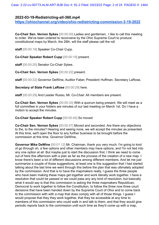## **2022-03-19-Redistricting-all-360.mp4**

**https://ohiochannel.org/video/ohio-redistricting-commission-3-19-2022**

**Co-Chair Sen. Vernon Sykes** [00:00:00] Ladies and gentlemen, I like to call this meeting to order. We've been ordered to reconvene by the Ohio Supreme Court to produce constitutional maps by March, the 28th, will the staff please call the roll

**staff** [00:00:18] Speaker Co-Chair Cupp.

**Co-Chair Speaker Robert Cupp** [00:00:19] present.

**staff** [00:00:20] Senator Co-Chair Sykes.

**Co-Chair Sen. Vernon Sykes** [00:00:22] present.

**staff** [00:00:22] Governor DeWine, Auditor Faber, President Huffman, Secretary LaRose,

**Secretary of State Frank LaRose** [00:00:29] here.

**staff** [00:00:29] And Leader Russo, Mr. Co-Chair. All members are present.

**Co-Chair Sen. Vernon Sykes** [00:00:33] With a quorum being present. We will meet as a full committee in your folders are minutes of our last meeting on March 1st. Do I have a motion to accept the minutes.

## **Co-Chair Speaker Robert Cupp** [00:00:45] So moved

**Co-Chair Sen. Vernon Sykes** [00:00:47] Moved and seconded. Are there any objections to the, to the minutes? Hearing and seeing none, we will accept the minutes as presented. At this time, we'll open the floor to any further business to be brought before the commission at this time. Governor DeWine,

**Governor Mike DeWine** [00:01:12] Mr. Chairman, thank you very much. I'm going to kind of go through oh, a few options and other members may have options, and I'm not tied into any one option at all. But maybe just to start the discussion first, I think we need to come out of here this afternoon with a plan as far as the process of the creation of a new map. I know there's been a lot of different discussions among different members. And let me just summarize a couple of those suggestions, at least one is this suggestion that I had started talking about the last time we went through this before the plan that was ultimately adopted by the commission. And that is to have the mapmakers really, I guess the three people who have been making these maps get together and work literally work together. I have a resolution that could be passed or we could pass any any kind of resolution, but basically what it would say is that this commission is asking the three mapmakers Republican, Democrat to work together to follow the Constitution, to follow the three now three court decisions that have been handed down by the Supreme Court of Ohio and to come back to the commission with with a map that does comply with all of those things. I guess I would propose that they they work together, that they be accessible at any time to members of this commission who could walk in and talk to them, and that they would give periodic reports back to the commission until such time as they'd come up with a map,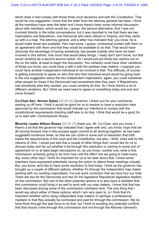which does in fact comply with those three court decisions and with the Constitution. That would be one suggestion I know that the letter from the attorney general has been, I think all the members have seen the letter and I know there's been some informal discussion about with members, which would be, I guess, the second alternative. And I was not involved directly in the initial conversations, but it was reported to me that there are two mapmakers one Republican, one Democrat who were utilized in Virginia, and they came up with a a map. The attorney general, and a letter has indicated that, you know, he is would make those two available. He's had some, I guess, contractual contact with them or an agreement with them and that they would be available to do that. That would have obviously the advantage of having somebody, two people outside who have not been involved in this before, how much that would delay things, I really don't don't know, but that would certainly be a second second option. So I would just put those two options out on the on the table, at least to begin the discussion. You certainly could have other variations of those you know, you could have a with it with the partisan map makers, I suppose you could have another independent individual to be involved in that. The difficulty, of course, is getting everybody to agree on who that who that individual would would be going back to the one suggestion about the two independent mapmakers, again, you could substitute other people for those if the Democrats had somewhere else they want. If Republicans had somebody else they wanted, you could certainly do that. So I think there's a lot of different variations. But I think we need need to agree on something today and and and move forward.

**Co-Chair Sen. Vernon Sykes** [00:06:02] Governor, I thank you for your comments, starting us off here. I think it would be good for us to resolve or have a resolution here approved by the commission that would indicate our intentions to comply with the constitutional requirements directing staff also to do that. I think that would be a good for us to start with. Commissioner Russo,

**Minority Leader Allison Russo** [00:06:35] thank you, Mr. Co-Chair, and you know, I there's a lot that the governor has indicated that I agree with and, you know, hope that we all moving forward now in this process again commit to all working together, as has been suggested numerous times, so that we can come to some sort of resolution that both meets the requirements of the court and the Constitution, but also, I think, does well by the citizens of Ohio. I would just add that a couple of other things that I would like for us to discuss today and lay out whether it be through this resolution or coming to some sort of agreement on or at least begin discussions on, as you know, number one, what is this commission schedule going to be from now until the 28th? Are we going to meet every day, every other day? I think it's important for us to be clear about that. I know some members have expressed potentially having the option to attend these meetings virtually. But, you know, we'd like to have some resolution to that today. I think as the governor has brought up a couple of different options, whether it's through the independent map maker working with our existing mapmakers, I've just quick correction that we have four our total. There are two for the Democrats and two for the legislative Republican legislative leaders on the commission. But one of the other potential options is to also have a mediator that this commission could bring in as well to work with our map makers. I know that that has been discussed among some of the commission members here. The only thing that I would say about either of these options, which I am very open to, is I think that it's important whether we're using independent map makers or perhaps a professional mediator is that they actually be contracted and paid for through the commission. We do have finds through the task force to do that, but I think to avoiding any potential conflicts that that should come through this commission and not through the Attorney General's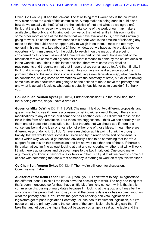Office. So I would just add that caveat. The third thing that I would say is the court was very clear about the work of this commission. A map maker is being done in public and how do we actually do that? What are the logistics of that and what do we agree on? I think that there is no reason why we can't make some of the work of our map makers available to the public and figuring out how we do that, whether it's in this room or it's in some other room or one of the theaters that we have available to us, how that's actually going to work. I also think that we need to talk about what is the timeline of releasing any maps so that the public has an opportunity to weigh in on them. I know the attorney general in his memo talked about a 24 hour window, but we have got to provide a better opportunity for transparency for the public to weigh in on the maps that are being considered by this commission. And I think we as part of this, and I hope as part of the resolution that we come to an agreement of what it means to abide by the court's decision in the Constitution. I think in this latest decision, there were some very detailed requirements and thoughts on that that I hope that we can all agree to. And then finally, I think that it is important for this commission to also have some discussion about the primary date and the implications of what instituting a new legislative map, what needs to be considered, having some conversations with the secretary of state, but all of us having some discussion about what are going to be the actions taken to move the primary date and what is actually feasible, what data is actually feasible for us to consider? So thank you.

**Co-Chair Sen. Vernon Sykes** [00:10:54] Further discussion? On the resolution, then that's being offered, do you have a draft or?

**Governor Mike DeWine** [00:11:11] Well, Chairman, I laid out two different proposals, and I guess I wanted to see if there is a consensus behind either one of those, if there's any modifications to any of those or if someone has another idea. So I didn't put those on the table in the form of a resolution. I put those two suggestions. I think we can certainly turn them one of those into a resolution, but I just thought that we should see if there is a consensus behind one idea or a variation of either one of those ideas. I mean, there are different ways of doing it. So I don't have a resolution at this point. I think the thought, frankly, that we would have some discussion and try to reach some sort of consensus about which way we would go because obviously it has to be something that there's a support for on this on this commission and I'm not wed to either one of these, if there's a third alternative, I'm fine at least looking at that and considering whether that will will work. I think there's advantages and disadvantages to the two I I laid out. One could make arguments, you know, in favor of one or favor another. But I just think we need to come out of here with something that show that somebody is starting to work on maps this weekend.

**Co-Chair Sen. Vernon Sykes** [00:12:41] Then we're still open for discussion. Commissioner Faber,

**Auditor of State Keith Faber** [00:12:47] thank you, I. I don't want to say I'm agnostic to the different ideas. I think all the ideas have the possibility to work. The only one thing that that's been mentioned so far that I have a little bit of an itchy concern with is that is this commission discussing primary dates because I'm looking at the group and I may be the only one on this group that has no say in what the primary date is or has no direct input on what the primary date is. You know, the governor certainly can veto legislation the legislators get to pass legislation Secretary LaRose has to implement legislation, but I'm not sure that the primary date is the concern of the commission. So having said that, I'll take that and let you guys figure that out because you all get a seat at the table and the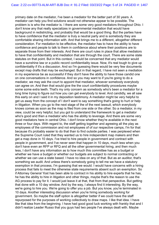primary date on the mediator, I've been a mediator for the better part of 30 years. A mediator can help you find solutions would not otherwise appear to be possible. The problem is is who the mediator is. I there are some very good mediators throughout Ohio. I don't know any that really specializes in governmental mediation that would have background in redistricting, and probably that would be a good thing. But the parties have to have confidence that the mediator is truly a neutral party and is somebody they are comfortable sharing information with. And that brings me to a different, altogether different consideration. For mediation to be effective, the mediator has to have the ability to have confidence and people to talk to them in confidence about where their positions are to separate those from their interests. And there are court rules in place that allow mediators to have that confidentiality and mediation that are through the court. There are some state statutes on that point. But in this context, I would be concerned that any mediator would have a sunshine law or a public record confidentiality issue. Now, it's real tough to give up confidentiality if it's a discussion. And so I'm guessing there would be very few documents except map drafts that may be exchanged. But in that regard, I have not seen a mediation in my experience be as successful if they don't have the ability to have those candid one on one conversations in confidence. And so you may want to if you're going to do a mediator, we may ask the court to appoint that mediator, whoever somebody everybody can agree on. And then that would give the the court confidentiality procedures maybe some some extra teeth. That's my only concern as somebody who's been a mediator for a long time trying to figure out how you can get everybody to level. And candidly, we all saw this early on and I said it in my deposition testimony. A mediator might be very helpful to get us away from the concept of I don't want to say something that's going to hurt or help in litigation. When you go to the next stage of the of the next lawsuit, which everybody knows comes as soon as the map is filed from one side or the other. So a mediator, in my view, could be very helpful, but you got to understand the framework to get a mediator who's good and then a mediator who has the ability to leverage. And there are some very good mediators here in central Ohio. I don't know whether they're available in the next three or four days. With regard to, the staff getting together and agreeing all the play as employees of the commission and not employees of of our respective camps, I'm for that because it's probably easier to do that than to find outside parties. I was perplexed when the Supreme Court ruled that they wanted us to hire independent map makers and then get a map done in 10 days. I've tried to hire people in government and contract with people in government, and I've never seen that happen in 10 days, much less when you don't have even an RFP or RFQ and all the other governmental hiring, and then much less, I don't have any information as to how much this committee has as a budget or whether we have a budget or whether our budgets are subject to normal contracting or whether we can use a state based. I have no idea on any of that. But as an auditor, that's something we audit. And unless there's somebody going to tell me we have a statutory exemption in that process, I'm guessing that we would. I would have concerns with a hiring process that fails to meet the otherwise state requirements absent such an exemption. So if Attorney General Yost has been able to contract in his ability to hire experts that he has, he has the ability to hire in litigation and other things, maybe that's the reason to use the AG process to pay for it. I would just leave it at that, that from that perspective. But getting that done with a 10 day window. And by the way, I always find it interesting. By the way, we're going to hire you. We're going to offer you a job. But you know, you're terminated in 10 days. Another interesting discussion when you're hiring somebody working for government. So maybe the staff option is altogether better if we could have the staff repurposed for the purposes of working collectively to draw maps. I like that idea. I have like that idea from the beginning. I have had good good luck working with frankly that and I didn't realize Leader Russo that you guys had two people I've always dealt with. Maybe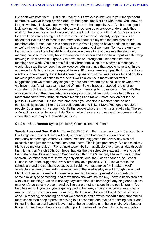I've dealt with both them. I just didn't realize it. I always assume you're your independent contractor, was your map-drawer, and I've had good luck working with them. You know, as long as we have luck working, working with them in that capacity. And I've had real good luck working with the Republican folks as well as long as everybody understands they work for the commission and we could all have input. I'm good with that. So I've gone on for a while basically saying I'm OK with either one of these. My only suggestion is an option that I've talked to most of the members about are my staff that the most of the members about. And that is this concept that we're all going to have hands on the mouse or we're all going to have the ability to sit in a room and draw maps. To me, the only way that works is if we have the ability to do electronic meetings and we use the electronic meeting purpose to actually have the map on the screen and then have input with the map drawing in an electronic purpose. We have shown throughout Ohio that electronic meetings can work. You can have full and vibrant public input at electronic meetings. It would also stop the concept that we keep scheduling things that people have to sit in the audience for 48 hours to come up and have a 10 minute meeting. I just think moving to an electronic open meeting for at least some purpose of of of this week as we try and do, this makes a great deal of sense to me. And it would allow us to meet Auditor Yost's suggestion that we meet every single day between now and the conclusion or whenever we have maps for at least some period of time. So we have a proposed rule change consistent with the statute that allows electronic meetings to move forward. So that's the only specific thing that I feel relatively strong about is that we could move to do this in a more transparent way using electronic meetings and make it more convenient for the public. But with that, I like the mediator idea if you can find a mediator and he has confidentiality issues. I like the staff collaborative and I like if Dave Yost got a couple of people. By all means, I've been told it's the people who drew the maps in Virginia. There's a Republican and a Democrat. I don't know who they are, so they ought to come in with a clean slate, and maybe that works just fine.

#### **Co-Chair Sen. Vernon Sykes** [00:19:58] Commissioner Huffman

**Senate President Sen. Matt Huffman** [00:20:00] Oh, thank you very much, Senator. So a few things on the scheduling part of it, we thought we had one question about the frequency of meetings. Attorney General Yost had suggested that every day was not excessive and just for the schedulers here I have. This is just personally. I've canceled my trip to see my grandkids in Florida next week. So I am available every day, all day through the midnight on March 28th. So I hope that lets the the schedulers except I have to be at the State of the State at noon on Wednesday. I think that's my only I have to gavel in that session. So other than that, that's my only official duty that I can't abandon, As Leader Russo in her letter, suggested every other day as a possibility. I'll I'll leave that to the schedulers and the co-chairs because as I said, I've made myself will make myself available any time or any, with the exception of the Wednesday event through the end of March 28th as to the method of meetings, Auditor Faber suggested Zoom meetings or some similar type of meeting, and that's that's fine with me too my, I have a basic problem with virtual meetings, which is nobody pays attention. It's hard to get anything done unless everyone's personally present. And so I've done on other issues in the public forum, I've tried to say no. If you're if you're getting paid to be here, et cetera, et cetera, every party needs to show up in the same room. But I think the auditor's right that if it's half an hour check in meeting, depending on what we schedule and how we schedule that, that makes more sense than people perhaps having to all assemble and makes the timing easier and things like that so that I would leave that to the schedulers and the co-chairs. Also Leader Russo, I think, brought up a an excellent point in terms of if we're going to have a public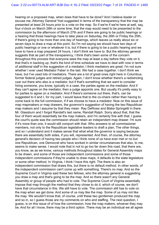hearing on a proposed map, when does that have to be done? And I believe leader or excuse me, Attorney General Yost suggested in terms of the transparency that the map be presented at least 24 hours prior to a vote on the map. So if we're if we're here at well, say, four o'clock on March 28th or some time, that the map would need to be presented to the commission by the afternoon of March 27th and if there are going to be public hearings or a hearing that those hearings have to take place on Saturday, the 26th or Friday the 25th, if there's going to be more than one day of hearings, which leaves us really about six or seven days to draw a map at this point. So I'm not saying we should have two days of public hearings or one or whatever it is, but if there is going to be a public hearing and we have to have a map prepared 24 hours, I don't think we have to. But the attorney general suggests that as part of the transparency, I think that's been some of the concern throughout this process that everyone sees the map at least a day before they vote on it, that that's in backing up, that's the kind of time schedule we have to deal with now in terms of additional staff in the suggestion of a mediator, I think mediators are great. I'm not sure whether I ever used Mediator Faber in the last. We had a case together. I don't think we have, but I've used lots of mediators. There are a lot of great ones right here in Columbus, former federal judges and retired judges. Again, I don't know whether there's a redistricting czar out there who also is a mediator, but if that's something that we want to consider hiring someone, you know, typically in a case, the parties agree on the mediator. And if they can't agree on the mediator, then a judge appoints one. But usually it's pretty easy to for parties to agree on a mediator. And if there's someone out there, that's, can be suggested to it and I, for my part, I would leave that to the co-chairs rather than having to come back to the full commission, if if we choose to have a mediator. Now on this issue of map mapmakers or map drawers, the governor's suggestion of having the two Republican map makers and I assume by that they mean Ray DeRossi and Blake Springetti in there. Mr. Glassburn and I forgot Randall's last name, Randall Ralph. Sorry about that, that the four of them would essentially be the map makers, and I'm certainly fine with that. I guess the court's quote was the commission should retain an independent map drawer. I'm sure if it's more than one, it would still comport with that. Who answers to all commissioner members, not only to the Republican legislative leaders to draft a plan, The other things, and so I understand and it makes sense that what what the governor is saying because there are essentially both sides, if you will, represented. And then, of course, the attorney general's decision of having two people who I think none of us have ever met or no but one Republican, one Democrat who have worked in similar circumstances that also, to me, seems to make sense. I would note that in not to go too far down this road, that there are, you know, as as we know, various methods throughout states for General Assembly maps to be drawn, and some of those are independent commissions and some of those independent commissions if they're unable to draw maps, it defaults to the state legislature or some other method. In Virginia, I think I have this right. The there is also an independent commission that draws this, but there is no default method. In other words, of the independent commission can't come up with something. There's no map. And so the Supreme Court in Virginia said these two fellows, who the attorney general is suggesting you draw a map and that's going to be the map. And so there wasn't any General Assembly or group of people who had to vote. The Supreme Court of Virginia essentially impose that map through the method that they chose to do it, which of course, we don't have that circumstance in this. We still have to vote. The commission still has to vote on the map when we get done. And some of us may like the map. Some of us may not like the map. We wouldn't know that, of course, until these two gentlemen produced the map and so in, so I guess those are my comments on who and staffing. The next question, I guess, is on this issue of of how the commission, how the map makers, whoever they may be. And for all I know, there may be a third option. There may be an individual we all agree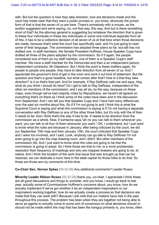with. But but the question is how they take direction, how are decisions made and the court has made clear that they want a public process in, you know, obviously the purest form of that is that the seven of us are here. There's somebody with a mouse, as the auditor suggested and we're saying, no, not that way, this way. And but is there something short of that? As the attorney general is suggesting but whatever the direction that is given to these four individuals or these two individuals or some one individual separate from all of this, it has to be a collective decision of all seven of us at that time when those decisions are made, because that's what the court has specifically said, and I'm just going to read some of their language. The commission has adopted three plans so far, but still has not drafted one. In staff members, the Senate President Huffman, House Speaker Cupp have drafted all three of the plans adopted by the commission. So if if again, the people considered one of them as my staff member, one of them is is Speaker Cupp's staff member. We have a staff member for the Democrats and then a an independent person, independent contractor, Mr Glassburn. But I think the point is these drafters again, for people to people one people, they have to take direction from all seven of us. And I appreciate the governor's kind of get in the room and work it out kind of statement. But the question and that's a good headline, but what comes after that? How is it that they take direction? Is it so that's that part. And for example, if Ray DeRossi calls me and says, Hey, what do you think I should do here? Do I get to talk to Ray DeRossi, independent of the other six members of the commission, and I say all six, by the way, because on these maps, even though we've had majority votes by Republicans, we haven't all agreed on everything that's on there as I think some of the votes have been and in the discussion from September. And I can tell you that Speaker Cupp and I have had many differences over the past six months about this. So if if I'm not going to and I think this is what the Supreme Court is saying and what this commission is saying is if I'm not having a separate conversation with Ray DeRossi or any of the other three folks, but it's only with the of then it needs to be. And I think that's the way it has to be. It needs to be direction from the commission as a whole. Now, if someone says,"ah no you can talk to them whenever you want, you can talk to all four of them whenever you want." OK, I understand, but I just want to know what the rules are because in January, after being criticized by the court, we did our September 15th map and then January 10th, the court criticized that Speaker Cupp and I were too involved, and I said, Look, anybody can go talk to Ray DeRossi I'm not even going to go into the map drawing room, and I didn't. But other members of the commission did. And I just want to know what the rules are going to be that the commission is going to adopt. So I think those are that to me, is a more problematic resolution than frequency of meetings and who are mapped drawers are going to be, et cetera. And I think the location of the work that issue that was brought up that can be resolved, we can dedicate a room here in the state capital for those folks to do that. So those are those are my comments at this time.

#### **Co-Chair Sen. Vernon Sykes** [00:32:28] Any additional comments? Leader Russo

**Minority Leader Allison Russo** [00:32:36] thank you, co-chair. I appreciate I think these are all good discussions and things to consider, and you know, I would go back to last year, actually some of Commissioner Huffman's concerns about, you know, how do we actually implement if we've got whether it be an independent mapmakers or our mapmakers working together, how do we actually create a process so that decisions are made that they can work with? Because I will note that our makers have met in the past throughout this process. The problem has been when they are together not being able to serve as agents to actually come to some sort of consensus on what decisions should or should not be made within the map that has been the hangup primarily is, you know, often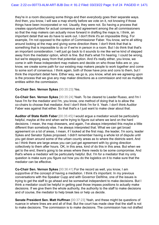they're in a room discussing some things and then everybody goes their separate ways. And then, you know, I will see a map shortly before we vote on it, not knowing if those things have been incorporated or not. Usually, they were not. So having a process that creates opportunities for actual consensus and agreement among the all commissioners so that the map makers can actually move forward in drafting the maps is, I think, an important detail that we do have to work out. I don't think it's an impossible thing. For example, I'm not opposed to the option of Commissioner Faber. You know, we're all sitting around looking at the map and giving some direction there. I don't think that that is something that is impossible to do or if we're in person in a room. But I do think that that's an important consideration. I will just go back to it sounds to me like we've kind of stepped away from the mediator option, which is fine. But that's what I'm hearing. I could be wrong, but we're stepping away from that potential option. And it's really either, you know, we come in with these independent map makers and decide on who those folks are or, you know, we create some path for our existing map makers people to work together and come to some sort of consensus. I think again, both of those have pros and cons to them, but I think the important detail here. Either way, we go is, you know, what are we agreeing upon is the process that we give any map maker directions as a commission and not as multiple entities within the commission.

### **Co-Chair Sen. Vernon Sykes** [00:35:23] Yes.

**Co-Chair Sen. Vernon Sykes** [00:35:24] Yeah. To be cleared to Leader Russo, and I'm I have I'm for the mediator and I'm, you know, one method of doing that is to allow the co-chairs to choose that mediator. And I don't think I'm for it. Yeah. I don't think Auditor Faber was against that either. So that that's a I just want to make clear about that.

**Auditor of State Keith Faber** [00:35:45] I would argue a mediator would be particularly helpful, maybe at the end when we're trying to figure out where we land on the hard decisions. I mean, the map drawsers, and again, I've always interpreted this maybe a little different than somebody else. I've always interpreted that. What we can get broad agreement on a lot of areas, I mean, if I looked at the first map, the leader, I'm sorry, leader Sykes and Senator Sykes proposed. I didn't remember having a whole lot of dispute until you get down around some of the urban county areas as to where the districts went. And so I think there are large areas you can just get agreement with by giving direction collectively to them after hours. OK, in this area, kind of do this in this area. But when we get to the end, there's going to be areas where there needs to be some compromise. And that's where a mediator will be particularly helpful. But. I'm for a mediator that my only question is make sure you figure out how you do the logistics on it to make sure that the mediator can be effective.

**Co-Chair Sen. Vernon Sykes** [00:36:41] For the record as well, you know, I am supportive of the concept of having a mediation. I think it's important. In my previous conversations with the Speaker Cupp and with Governor DeWine, one of the issues is trying to get the staff to go ahead and be somewhat independent to make decisions. But I think a mediator could be helpful in getting past those impass positions to actually make decisions. If we give them the whole authority, the authority to the staff to make decisions and of course, the mediator to help break ties or help us decide.

**Senate President Sen. Matt Huffman** [00:37:23] Yeah, and these might be questions of nuance in where lines are and all of that. But the court has made clear that the staff is not to make decisions. The commission is to make decisions. The commission has not drafted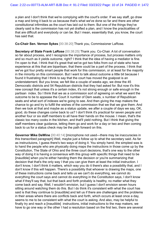a plan and I don't think that we're complying with the court's order. If we say staff, go draw a map and bring it back to us because that's what we've done so far and there are other constitutional infirmities as the court has laid out to them. But one of the things they've clearly said is the commission has not yet drafted a plan, and I know the practicalities of that are difficult and everybody or can be. But I mean, essentially that, you know, the court has said that.

**Co-Chair Sen. Vernon Sykes** [00:38:20] Thank you, Commissioner LaRose.

**Secretary of State Frank LaRose** [00:38:25] Thank you. Co-Chair. A lot of conversation so far about process, and I recognize the importance of process, but process matters only and so much as it yields outcome, right? I think that the idea of having a mediator is fine. I'm open to that. I think that it's great that we've got two folks from out of state who have experience at this that are bipartisan, that there could be a part of the process. I think that we've got four pretty smart people that work for this commission, or at least for the majority in the minority on this commission. But I want to talk about outcome a little bit because I found it frustrating that I think to say that the court has moved the goalpost is an understatement. But you know, we felt like a couple of weeks ago, we drew the 45 Democratic districts and 54 Republican districts that they had asked for. But now it's this new concept that unless it's a certain index, it's not strong enough or safe enough in the partisan index. So I think that we as a commission sort of agreeing on what we want the outcome to be to appease the Court X number of Dem seats, x number of Republican seats and what sort of indexes we're going to see. And then giving the map makers the chance to go and try to fulfill the wishes of the commission that we that we give them. And then we look at that and maybe as a status update, we after a couple of days we say, OK, good, do these changes come back to us? I don't think it's practical for seven people and another four or six staff members to all have their hands on the mouse. I mean, that's the classic too many cooks in the kitchen, and that'll yield nothing. But I think that giving the staff members clear guidance, letting them go and work for a day or two and then coming back to us for a status check may be the path forward on this.

**Governor Mike DeWine** [00:40:14] [microphone not used—there may be inaccuracies in this transcribed paragraph] Well, maybe just a follow up to what the secretary said. As far as instructuions, I guess there's two ways of doing it. You simply hand, the simplest was is to hand the people who are physically doing maps the instructions in those come up by the Constitution, The State of Ohio and the three court decisions, that's one way to the other way of doing it is having a consensus with this group with specific things that need to be [inaudible] when you're either handing them the decision or you're summarizing that decision that that's the only way I that you can give them at least the initial instruction. I don't know, I don't think it matters, which way you do it there's also a possibility that, and I don't know if this will happen. There's a possibility that whoever is drawing the maps, one of these instructions come back and tells us we can't do everything, we cannot do everything the court says and cannot do everything in the Constitution says, I don't know what if they'll say that, but that back and forth probably is healthy, no matter what they come back and say. Well, I wouldn't envision, but I guess I don't envision seven hours sitting around watching them do this. But I do think it's consistent with what the court has said is that they continue to [inaudible] and tell us if there are challenges and the problems in their areas where there are conflicts back and forth, which occurs at least once a day, seems to me to be consistent with what the court is asking. And also, may be helpful to finally try and reach a [inaudible] instructions, initial instructions to the map makers, we have to go one way or the other I had a resolution based on the first two, there are several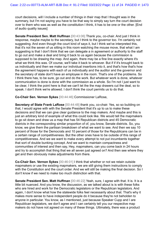court decisions, will I include a number of things in their map that I thought was in the summary, but I'm not saying you have to be that way to simply say turn the court decision over to them who was as well as the constitution I think, it has to be one or the other. [End of audio quality issues]

**Senate President Sen. Matt Huffman** [00:43:06] Thank you, co-chair. And just I think in response, maybe maybe to the secretary, but I think to the governor too. I'm certainly not suggesting. And even though the court kind of says it, but I think we've interpreted this, that it's not the seven of us sitting in this room watching the mouse move, that what I am suggesting is that I don't think that we can delegate a in agreement or authority to the staff to go out and make a deal and bring it back to us again because the commission is supposed to be drawing the map. And again, there may be a fine line exactly where it's what we think this was. Of course, we'll take it back to whoever. But if if it's brought back to us individually and then we make our individual insertions into it, and that's how that's how the agreement happens with each of us individually and the auditor and the governor and the secretary of state don't have an employee in the room. That's one of the problems. So I think there has, to be sure, go out and do the work. But whatever work is done, whatever communication is done is done with the commission as a whole. So I'm not I just want to be clear, I think the point here is that we can't let the the map drawers cut the deal, so to speak. I don't think we're allowed. I don't think the court permits us to do that.

**Co-Chair Sen. Vernon Sykes** [00:44:46] Commissioner LaRose,

**Secretary of State Frank LaRose** [00:44:48] thank you, co-chair. Yes, so so building on that, I would agree with with the Senate President that it's up to us to make these decisions and that we can give clear guidance to the map makers. And maybe and this is just an arbitrary kind of example of what this could look like. We would tell the mapmakers to go sit down and draw us a map that has 54 Republican districts and 45 Democratic districts in the corresponding similar proportion of of, you know, Senate districts. So, you know, we give them the partisan breakdown of what we want to see. And then we say 10 percent of those for the Democrats and 10 percent of those for the Republicans can be in a certain range of competitiveness. But the other ones have to be outside of this range of competitiveness. And we we want to make every attempt to not put incumbents together that sort of double bunking concept. And we want to maintain compactness and communities of interest and then say, Hey, mapmakers, can you come back in 24 hours and try to accomplish that thing that we all seven just agreed on? And then see where they get and then obviously make adjustments from there.

**Co-Chair Sen. Vernon Sykes** [00:46:01] I think that whether or not we retain outside mapmakers or use the existing mapmakers, we are still giving them instructions to comply with the Constitution and the court order. And we will still be making the final decision. So I don't know if we need to make too much distinction with that.

**Senate President Sen. Matt Huffman** [00:46:22] Yeah, sure, I agree with that. It is. It is a little bit nuanced. And you know, the discussion, as we talked about is is with these folks who are hired and work for the Democratic legislators or the Republican legislators. And again, I don't know what how the statewide folks feel necessarily about that. That's why it makes more sense to have independent people do it because they're not beholden to anyone in particular. You know, as I mentioned, just because Speaker Cupp and I are Republican legislators, we don't agree and I can certainly tell you our respective map makers do not have not agreed on many of these things. Ultimately, there was a product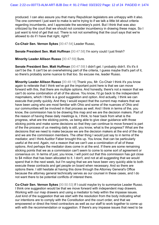produced. I can also assure you that many Republican legislators are unhappy with it also. The one comment I just want to make is we're trying to if we talk a little bit about criteria regarding incumbents, and I appreciate the secretary's point. But I think that was also criticized by the court that we should not consider incumbency in drawing these maps. So I just want to kind of get that out. There is not not something that the court says that we're allowed to do if I have that right, right?

**Co-Chair Sen. Vernon Sykes** [00:47:54] Leader Russo,

**Senate President Sen. Matt Huffman** [00:47:58] I'm sorry could I just finish?

**Minority Leader Allison Russo** [00:47:59] Sure.

**Senate President Sen. Matt Huffman** [00:47:59] I didn't get. I probably didn't. It's it's it can't be the. It can't be an overwhelming part of the criteria, I guess maybe that's part of it, so there's probably some nuance to that too. So excuse me, leader Russo.

**Minority Leader Allison Russo** [00:48:18] Thank you, Mr. Co-Chair I think it's you know again to reiterate that I think we've got the important point here is that we can move forward with this, that there are multiple options. And honestly, there's not a reason that we can't do some combination of all of the above. You know, I'd go back to the independent mapmakers, which I think is a good suggestion and option. And actually, I think we can execute that pretty quickly. And they I would expect that the current map makers that we have been using who are most familiar with Ohio and some of the nuances of Ohio and our communities will be involved in that process as well. And I think in terms of the, you know, the commission has to be drawing this map and we are the decision makers. Part of the reason of having these daily meetings is, I think, to hear back from what is the progress, what are the sticking points, us being able to give clear guidance with those sticking points and make some decisions so that they can continue to move forward is part of the the process of us meeting daily is still, you know, what is the progress? What are the decisions that we need to make because we are the decision makers at the end of the day and we are the commission members. The other thing I would just say to in terms of the mediator, and I think Auditor Faber brought this up. You know, that can be particularly useful at the end. Again, not a reason that we can't use a combination of all of these options. And perhaps the mediator does come in at the end. If there are some remaining sticking points that we as a commission can't seem to come to some sort of agreement or consensus on. In terms of just, you know, I will point out that this commission has got close to \$4 million that has been allocated to it. I don't, and not at all suggesting that we would spend that in the next week, but I'm saying that we are have been very quickly able to both execute these contracts and get people on board when necessary. And so there are options there. I still hesitate at having this done through the Attorney General's Office because the attorney general technically serves as our counsel in these cases, and I do not want there to be potential conflicts of interest there.

**Co-Chair Sen. Vernon Sykes** [00:50:53] If I could maybe try to summarize Leader Russo. I think one suggestion would be that we move forward with independent map drawers. Working with our map drawers and using a mediator to help within the impasse issues. Just kind of the suggestion that we start with the resolution from the body indicating what our intentions are to comply with the Constitution and the court order, and that we empowered or direct the hired contractors as well as our staff to work together to come up with with the recommendation or suggestion. If there's any impasse issues that need to be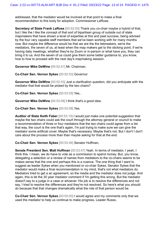addressed, that the mediator would be involved at that point to make a final recommendation to this body for adoption. Commissioner LaRose,

**Secretary of State Frank LaRose** [00:52:00] Thank you co-chair maybe a hybrid of that, but I like the I like the concept of that sort of bipartisan group of outside out of state mapmakers that have shown a level of expertise at this and past success, being advised by the four very capable staff members that we've been working with for many months now. But maybe the difference would be that we are the the tiebreakers, we're the mediators, the seven of us, at least when the map makers get to the sticking point, if we're having daily meetings, whether they're by Zoom or in-person or what have you, they can bring it to us. And the seven of us could give them some better guidance to, you know, how to how to proceed with the next day's mapmaking session.

**Governor Mike DeWine** [00:52:51] Mr. Chairman,

**Co-Chair Sen. Vernon Sykes** [00:52:53] Governor.

**Governor Mike DeWine** [00:52:53] Just a clarification question, did you anticipate with the mediator that that would be picked by the two chairs?

**Co-Chair Sen. Vernon Sykes** [00:53:05] Yes,.

**Governor Mike DeWine** [00:53:06] I think that's a good idea.

**Co-Chair Sen. Vernon Sykes** [00:53:08] Yes.

**Auditor of State Keith Faber** [00:53:15] I would just make one potential suggestion that maybe the two chairs could ask the court through the attorney general or council to make a recommendation of three or four mediators that the two chairs could agree from a list that way, the court is the one that's again, I'm just trying to make sure we can give the mediator some artificial cover. Maybe that's necessary. Maybe that's not. But I don't I don't care about the process more than than maybe asking for that at the end.

**Co-Chair Sen. Vernon Sykes** [00:53:46] Senator Huffman,

**Senate President Sen. Matt Huffman** [00:53:47] Yeah. In terms of mediator, I yeah, I think this. I mean, we do have to vote as a commission to spend money. But, you know, delegating a selection or a review of names from mediators to the co-chairs seems to be makes sense that the one and perhaps this is a nuance. The one thing that I want to suggest as leader Sykes when you mentioned or co-chair Sykes, Senator Sykes that the mediator would make a final recommendation in my mind, that's not what mediators do. Mediators tried to get a an agreement, so the media and the mediator does not judge. And again, this is let the 30 year mediator comment if I'm getting this wrong. But the mediator doesn't say to a judge in a case or whoever. His job is to resolve the differences and not say, I tried to resolve the differences and they're not resolved. So here's what you should do because that that changes dramatically what the role of that person would be.

**Co-Chair Sen. Vernon Sykes** [00:55:00] I would agree and my comments only that we used the mediator to help us continue to make progress. Leader Russo,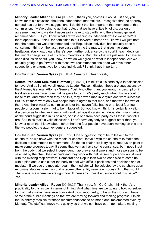**Minority Leader Allison Russo** [00:55:16] thank you, co-chair. I would just add, you know, for this discussion about the independent mat makers, I recognize that the attorney general has put forth two suggestions. I do think that it's important that members of this commission, if we're going to go that route, that we have a little bit of discussion or agreement and who we don't necessarily have to stay with, who the attorney general recommended. But you know, what are we defining as independent? Do we agree? Is there opportunity, I think, for both sides to put forward a name? You know, I will just note that the name that was recommended, the Republican individual has actually been a consultant. I think on the last three cases with the the maps, that gives me some hesitation. You know, clearly there's been further guidance by the court in each decision that might change some of his recommendations. But I think that we just need to have an open discussion about, you know, do we do we agree on what is independent? Are we actually going to go forward with these two recommendations or do we have other suggestions or alternatives for these individuals? I think that's important.

**Co-Chair Sen. Vernon Sykes** [00:56:34] Senator Huffman, yeah,

**Senate President Sen. Matt Huffman** [00:56:34] I think it's a it's certainly a fair discussion to have. And as I think we all know, as Leader Russo indicated, these are suggestions by the Attorney General, Attorney General Yost. And other than, you know, his description in his dossier or memorandum that he gave to us. That's pretty much what I know about these folks. And other than they had this, they drew a map in Virginia and were successful. But it's it's there were only two people had to agree to that map, and that was the two of them. And there wasn't a commission later that seven folks had to or at least four four people on a commission had to be in favor of. So, you know, I think it's certainly a valid discussion as to whether if we go with and perhaps it's a single independent map maker, as the court suggested in its opinion, or it is a one from each party as as these two folks are. So I think that's a valid discussion. I don't have anybody to suggest other than, you know or even that I know about, other than the four people have been working on this and the two people, the attorney general suggested.

**Co-Chair Sen. Vernon Sykes** [00:57:58] One suggestion might be to leave it to the co-chairs, as we have with the mediator concept, leave it with the co-chairs to make the decision to recommend to recommend. So the co-chair here is trying to keep us on point to make some progress today. It seems that we may have some consensus, but I need input from the body that we select independent map drawer or drawers and those persons to be selected by the chair, the co-chairs and they work with that person or persons would work with the existing map drawers, Democrat and Republican two on each side to come up with a plan and to use either the body to deal with difficult positions and decisions and or mediator. If we use the mediator again, the mediator will be selected by the co-chairs upon recommendations from the court or some other entity selection process. And that would. That's what we where we are right now. If there any more discussion about this issue? Yes,

**Minority Leader Allison Russo** [00:59:25] Thank you, Mr. Co-Chair. I think there's a practicality to this as well in terms of timing. And what time are we going to hold ourselves to to actually make these selections? And most importantly, to begin the work and have some of the public meetings so that we are moving forward and making progress. I think that is entirely feasible for these recommendations to be made and implemented even by Monday. The stuff can move very quickly so that we can have our map makers moving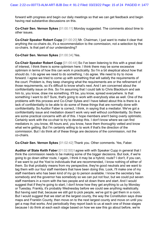forward with progress and begin our daily meetings so that we can get feedback and begin having real substantive discussions on this.

**Co-Chair Sen. Vernon Sykes** [01:00:11] Monday suggested. The comments about time to other issues.

**Co-Chair Speaker Robert Cupp** [01:00:20] Mr. Chairman, I just want to make it clear that anything the co-chairs do, it's a recommendation to the commission, not a selection by the co-chairs. Is that part of our understanding?

### **Co-Chair Sen. Vernon Sykes** [01:00:34] Yes.

**Co-Chair Speaker Robert Cupp** [01:00:44] So I've been listening to this with a great deal of interest, I think there is some optimism here. I think there may be some excessive optimism in terms of how this can work in practicality. So I'm a bit skeptical about how that should do. I do agree we need to do something. I do agree. We need to try to move forward. I agree we tried to come up with something that will satisfy the requirements of the court. Problem is, they keep changing what the requirements are or the refinement of those requirements, so it's difficult to know what's next. And I am concerned about the confidentiality issue on this. So I'm assuming that I could talk to Chris Blackburn and ask him to, you know, draw me something. It'll be, you know, spread everywhere. Is that something I want to do? Sure, that's going to work with everybody else as well. One of the problems with this process and Co-Chair Sykes and I have talked about this is there is a lack of confidentiality to be able to do some of these things that are normally done with confidentiality. So Auditor Faber is correct, I think, in saying that a mediator. We've got a confidentiality issue and mediation doesn't work very well without confidentiality. So there are some practical concerns with all of this. I hope members aren't being overly optimistic. Certainly work with the co-chair to try to develop this. I don't know where we can find mediators in, you know, 48 hours and, you know, have them thoroughly vetted and know what we're getting. But I'm certainly willing to to work if that's the direction of the commission. But I do think all of these things are decisions of the commission, not the co-chairs.

**Co-Chair Sen. Vernon Sykes** [01:02:42] Thank you. Other comments. Yes, Faber.

**Auditor of State Keith Faber** [01:02:50] I agree with with Speaker Cupp in general that I think the commission needs to be making some of the bigger decisions. But look, if we're going to go down either route, I again, I think it may be a hybrid, route? I don't, if you can, if we want to put the Yost to individuals that are recommended, I know nothing of either of them. So that probably means from my perspective, they're good neutrals and we want to tag them with our four staff members that have been doing this. Look, I'll make one of my staff members who has been kind of my go to person available. I know the secretary has somebody and the governor has somebody so we can put not four, but we could put seven staff members in a room with the two people and sit down there and start. And I would suggest that if they're going to start, I don't know how they get anything to us by Monday or Tuesday. Frankly, it's probably Wednesday before we could see anything realistically. But having said that, because we still got to pick people, we've got to get them in a room. But I would suggest that we start at the largest county, the way the Constitution says draw maps and Franklin County, then move on to the next largest county and move on until you get a map that works. And periodically they report back to us at each one of those stages because I do think at each each stage based on how we saw this go about before, we're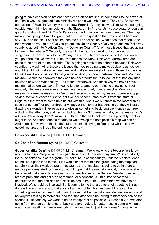going to have decision points and those decision points should come back to the seven at us. That's why I suggested electronically we see a Columbus map. They say, Should we go outside of Franklin County, you can draw Franklin County, as we all know, without going outside. And I think it's I'm looking at Mr. Glassburn in 11 districts, House seats, or you can go out and draw it and 12. That's it's an important question we have to resolve. The map makers are going to have to figure that out. That's a question that we could sit here and say, OK, see me an 11 seat option, see me a 12 seat option. What does that mean? And then where do you go out? Do you go out into Union County? Do you go out into Pickaway county to go out into Madison County, Delaware County? All of those issues that are going to have to be debated? Certainly, the staff in the room can work out some kind of suggestion. It comes back to us. We say yes or no. Then we move on to the next area. If you go north into Delaware County, that means the Knox, Delaware Marrow area are going to be part of the next district. That's going to have to be debated because Delaware counties now split. All of those are issues that you're going to make decisions as you go about that. I think that's when we meet and that's when we start having those discussions. I think if we. I would be shocked if you get anybody on board between now and, Monday, maybe? I would be shocked if they can have a product for us to look at that has any merit between now and Wednesday. But I'm for it, whatever. And that's why we have I have a motion that before we leave, I'm going to offer to amend our rules to allow us to meet remotely. Because frankly, even if we have people hired, maybe, maybe. Monday's meeting is a remote meeting for Vern, and I'm sorry, co-chair Sykes and Speaker Cupp saying, We've succeeded. We've got two independent map drivers from the state of Bugtussle that want to come help us out with this. And if we put them in the room with all seven of our staff for four or three or whatever the number happens to be, they will start drawing on Monday. They're going to give us something back fungible Monday at three o'clock in the afternoon, and we can look at that for 3:45 meeting. Maybe the answer is it's 4:45 on Wednesday. I don't know. But I think in the end, that process is probably what we ought to do. And that periodic reports as we develop the best possible map we can do. And I don't know where this lands, but I am. I'm still trying to figure out what the new guidelines are, and I read the opinion twice now.

## **Governor Mike DeWine** [01:06:31] Mr. Chairman,

## **Co-Chair Sen. Vernon Sykes** [01:06:33] Governor.

**Governor Mike DeWine** [01:06:34] Mr. Chairman. We know who the two are. We know who the four are. So you've got six people who you know who they are. What you don't, if that's the consensus of this group, I'm not sure, is consensus yet, but the mediator does sound like a good idea to me. But it would seem that this the group doing the map can certainly start their work before a mediator is there, mediator is going to be in there to resolve problems. And, you know, I would hope that the mediator would, once he or she is there, would take an active role in trying to resolve, as is the Senate President has said, resolve problems and get a an agreement or a consensus. I'm a little concerned, I understand that the decision final decision has to be ours. I understand we have to be involved. We should be involved. But it seems to me that a better shot at getting things done is having the mediator take a shot at the problem first and see if there can be something worked out. And that doesn't mean that the mediator wouldn't necessary, could be very well talking to members, and the mediator could be talking to members behind the scenes. I just candidly, we want to be as transparent as possible. But candidly, a mediator going from one person to another back and forth gets a lot better results generally than an open, open meeting where everybody is involved. And it just it just doesn't move as fast.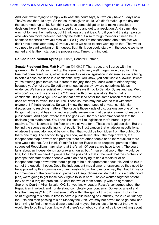And look, we're trying to comply with what the court says, but we only have 10 days now. They're less than 10 days. So the court has given us 10. We didn't make up the day and the court made up to 10. So I think we have some obligation to to make conscious decisions here. There is going to speed this up and get to a resolution. And so my idea was not to have the mediator, but I think was a great idea. And if you find the right person who who can move between not only the staff but also through members if need be, it seems to me that's how you resolve it. So I guess I'm not concerned about the fact we don't have a mediator today. Obviously need we need to start working on that. The two of you need to start working on it, I guess. But I think you could start with the people we have named and let them start on the process now. Time's running out.

**Co-Chair Sen. Vernon Sykes** [01:09:26] Senator Huffman,

**Senate President Sen. Matt Huffman** [01:09:28] Thank you, and I agree with the governor, I think he's summed up the issue pretty, very well. I again would caution. It is true that often resolutions, whether it's resolutions on legislation in differences we're trying to settle a case are done in a confidential way. You know, you can't settle a lawsuit, if what you're offering gets thrown out in front of the jury, then you don't want to offer anything because you're not sure. So settlement negotiations by law are not admissible as evidence. We have a legislative privilege that says if I go to Senator Sykes and say, Well, why don't you do this and say that? Or even with other legislators, that's that is confidential. It's privilege. And we do that now, kind of for the same reason that the media does not want to reveal their source. Those sources may not want to talk with them anymore if if that's revealed. So we all know the importance of private, confidential discussions to resolving matters. The issue is those kinds of discussions are one of the things that the court has criticized in a pretty severe way that decisions were not made in a public forum. And again, where that line goes well, there's a recommendation that the decision gets made here. You know, it's kind of like legislation that's broad. It gets resolved. Then it comes to the floor and we all vote for it. That's the legal decision. But the behind the scenes negotiating is not public. So I just caution that whatever negotiations, whatever the mediator would be doing that, that would be too hidden from the public. So that's one thing. The second thing you know, we talked about the map drawers, the independent map drawers and perhaps there are other people or an individual out there who would do that. And I think it's fair for Leader Russo to be skeptical, perhaps of the suggested Republican mapmaker that that's fair. Of course, we have to do it. The court talks about an independent map drawer singular, but I'm sure that two of them would be fine, too. I think we need to prepare for the possibility that in the work that the co-chairs or perhaps their staff or other people would do and trying to find a mediator or an independent map drawer that there's going to be a disagreement about this. And so this is sort of the question I pose: Does the independent map drawer or drawers, do they need to be approved by this commission unanimously? Now, the rules don't say that, but if if five or four members of the commission, perhaps all Republicans decide that this is a pretty good plan, we're going to get these two Virginia folks in here. They've worked together before they solved a Virginia problem. At least the two of them came up with an agreement, Supreme Court in Virginia said, OK. But you know, Leader Russo's concerned about the Republican involved, and I understand completely your concerns. Do we go ahead and hire them anyway? And I'm not sure that's within the spirit of this discussion. But in the spirit of getting this done in time to have a public hearing on Saturday, the 26th or Sunday the 27th and then passing this on Monday the 28th. We may not have time to go back and forth trying to find other map drawers and but maybe there's lots of folks out there who would like to do this, I don't know. And there's somebody that all of us know nothing about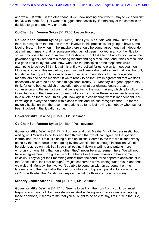and we're OK with. On the other hand, if we know nothing about them, maybe we shouldn't be OK with them. So I just want to suggest that possibility. If a majority of the commission decides to go one one way or another.

**Co-Chair Sen. Vernon Sykes** [01:13:55] Leader Russo,

**Co-Chair Sen. Vernon Sykes** [01:13:57] Thank you, Mr. Chair. You know, listen, I think there is recognition that no one that we involve in this process is not going to have some level of bias. I think when I think maybe there should be some agreement that independent at a minimum means that it's someone who has not been involved in any of the litigation so far. I think is a fair sort of minimum thresholds. I would like to go back to, you know, the governor originally started this meeting recommending a resolution, and I think a resolution is a good idea to lay out, you know, what are the principles or the steps that we're attempting to achieve? I think that it is entirely practical for us to plan to meet again on Monday to vote on this resolution, assuming we'll see a draft beforehand that lays that out, but also is the opportunity for us to take those recommendations for the independent mapmakers and or the mediator. If we're ready to do that, I'm in agreement that we don't necessarily have to do all of those things concurrently. But Monday is a good opportunity, I think, for us to both establish a resolution about what our ultimate goals are as a commission and the instructions that we're giving to the map makers, which is to follow the Constitution and the three court orders, but also to consider these recommendations and take a vote on them. And I think, you know again in considering what is independent. You know, again, everyone comes with biases to this and we can recognize that. But for me, my only hesitation with the recommendations so far is just having somebody who has not been involved in the litigation so far.

**Governor Mike DeWine** [01:15:43] Mr. Chairman,

**Co-Chair Sen. Vernon Sykes** [01:15:44] Yes, governor,

**Governor Mike DeWine** [01:15:47] I understand that. Maybe I'm a little pessimistic, but waiting until Monday to do this and then thinking that we all can agree on the specific instructions. Yeah, I think it's being a little optimistic. Seems to me that we all that simply going by the court decision and going by the Constitution is enough instruction. We all I'll be able to agree on that. But if you start putting it down in writing and putting more emphasis on one thing than on another, they'll never be in agreement here. We will not have an agreement. So I guess I would rather allow the map makers to have some flexibility. They've got their marching orders from the court, three separate decisions plus the Constitution. Isn't that enough? I'm just concerned we're waiting, under your idea that we wait until Monday, then we won't be able to come up with an agreement on the language, and then we battle that out for a while, and I guess I just don't know why we can't go with what the Constitution says and what the three court decisions say.

**Minority Leader Allison Russo** [01:17:17] Mr. Chairman.

**Governor Mike DeWine** [01:17:18] Seems to be from the from from, you know, most Republicans have not like those decisions. And so being willing to say we're accepting those decisions, it seems to me that you all ought to be able to say, I'm OK with that. So, yea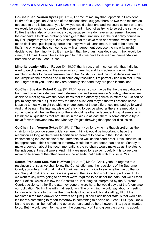**Co-Chair Sen. Vernon Sykes** [01:17:37] Let me let me say that I appreciate President Huffman's suggestion. And one of the reasons that I suggest there be two map makers as opposed to one is because, you know, you could select one and we could selects one, and we would be easier to come up with agreement in both of us trying to select the same one. I'd like the idea also of unanimous, vote, because if we do have an agreement between the co-chairs, I think we probably could get to that unanimous in the first policy course in my PhD program years ago, they indicated that the cave men and women, when they made decisions, public policy decisions, they were all unanimous. It had to be because that's the only way they can come up with an agreement because the majority might decide to eat the minority. So it's important that the unanimous decision, I think, would be clear, but I think it would be a clear path to that if we have bipartisan recommendations from the co-chairs. Lead Russo,

**Minority Leader Allison Russo** [01:19:05] thank you, chair, I concur with that, I did just want to quickly respond to the governor's comments, and I am actually fine with the marching orders to the mapmakers being the Constitution and the court decisions. And if that simplifies the process and eliminates any resolution, I'm perfectly fine with that. I think that I agree with you. I think they are perfectly clear and they are good instructions.

**Co-Chair Speaker Robert Cupp** [01:19:34] Great, so so maybe the the the map drawers from, and on either side can meet between now and sometime on Monday, whenever we decide to meet again with the consultants that the attorney general is offered to just sort of preliminary sketch out just the way the maps exist. And maybe that will produce some ideas as to how we might be able to bridge some of these differences and and go forward. And that being in the interim, while we're trying to decide whether there is a mediator at some point and whether there is or there should be other independent map drawers, which I think are all questions that are still up in the air. So at least there is some effort to try to move forward between now and Monday. I'm just throwing that open for discussion.

**Co-Chair Sen. Vernon Sykes** [01:20:48] Thank you for giving me that discretion as the chair to try to provide some guidance here. I think it would be important to have the resolution as long as there was bipartisan agreement to deal with the Constitution, implementing the constitutional requirements as well as the court order. I think that would be appropriate. I think a meeting tomorrow would be much better than one on Monday to make a decision about the recommendations the co-chairs would make as as it relates to the independent map drawers. And I think we need to resolve hopefully this so we can move on to some of the other items on the agenda that deals with this issue. Yes.

**Senate President Sen. Matt Huffman** [01:21:40] Mr. Co-Chair, yeah. In regards to a resolution that says we shall follow the Constitution and the decisions of the Supreme Court, absolutely. First of all, I don't think we have a choice to say whether we do that or not. We just do it. And in some ways, passing the resolution would be superfluous. But if we want to say we're going to do what we're required to do under the oath that we all took for our office, which is follow the Constitution, including as interpreted by the Supreme Court, decisions, I think if the attorney general were here, he would say that that's our also our obligation. So I'm fine with that resolution. The only thing I would say about a meeting tomorrow to decide to discuss the possibility of outside additional staffing, I'll put the mediator in the map drawer or drawers and just just call it additional staff, is that would be if if there's something to report tomorrow in something to decide on. Great. But if you know it's and we can all be notified and up on our cars and be here however it is, you all wanted to do. But it would seem to me, given the complexity of it and given the concerns about,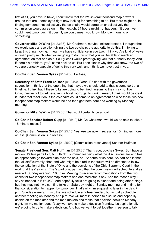first of all, you have to have, I don't know that there's several thousand map drawers around that are unemployed right now looking for something to do. But there might be. In finding someone that collectively the co-chairs would agree on or collectively the commission would agree on. In the next oh, 24 hours might not happen. If it does, we could meet tomorrow. If it doesn't, we could meet, you know, Monday morning or something.

**Governor Mike DeWine** [01:23:36] Mr. Chairman, maybe I misunderstood. I thought that we would pass a resolution giving the two co-chairs the authority to do this. I'm trying to keep this thing moving. I mean, we have confidence in you two. I think you've kind of we've outlined pretty much what you're going to do. I trust that you will be able to reach an agreement on that and do it. So I guess I would prefer giving you that authority today. And if there's a problem, you'll come back to us. But I don't know why that you know, the two of you are perfectly capable of doing this very well, and I think we have trust in you.

**Co-Chair Sen. Vernon Sykes** [01:24:33] LaRose,

**Secretary of State Frank LaRose** [01:24:34] Yeah. Be fine with the governor's suggestion. I think that the one thing that maybe we should add to that is some sort of a timeline. I think that if these folks are going to be hired, assuming they may not live in Ohio, they've got to get here, rent a hotel room, get to work. I mean, I think would be ideal if under that resolution, if the co-chairs could come to an agreement on who these two new independent map makers would be and then get them here and working by Monday morning.

**Governor Mike DeWine** [01:25:08] That would certainly be a goal.

**Co-Chair Speaker Robert Cupp** [01:25:10] Mr. Co-Chairman, would we be able to take a 15 minute recess?

**Co-Chair Sen. Vernon Sykes** [01:25:15] Yes. Are we now in recess for 10 minutes more or less. [Commission is in recess]

**Co-Chair Sen. Vernon Sykes** [01:25:29] [Commission reconvenes] Senator Huffman

**Senate President Sen. Matt Huffman** [01:25:30] Thank you, co-chair Sykes. So I have a motion, it's five parts to it, but I think it summarizes fairly what the discussions are and has an appropriate go forward plan over the next, oh, 72 hours or so here. So part one is that the, all staff currently hired and who might be hired in the future will be directed to follow the constitution of the State of Ohio and the decisions of the Ohio Supreme Court in the work that they're doing. That's part one, part two that the commission will schedule and as needed. Sunday evening, 7:00 p.m. Meeting to receive recommendations from the two chairs for two independent map makers and one mediator, if any. And the reason why I say as needed is if it's 4:30. And hopefully folks are going to dinner and doing other things, but they may not if we can find folks on Saturday night or Sunday morning and in time for that consideration to happen by tomorrow. That's why I'm suggesting later in the day, 7 p.m. Sunday evening. Third, that we schedule a not-as-needed, but actually schedule another meeting on Monday at 7 p.m. We will meet in person to discuss and hopefully decide on the mediator and the map makers and make that decision decision Monday night. I'm my motion doesn't say we have to make a decision Monday. It's aspirationally we're going to try to make a decision. And but we want to get together in person to talk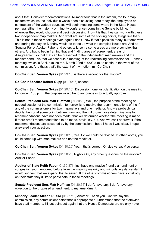about that. Consider recommendations. Number four, that in the interim, the four map makers which we the individuals we've been discussing here today, the employees or contractors of the various caucuses will begin meeting somewhere in the State House, perhaps either the majority or minority conference rooms in the Senate building, if wherever they would choose and begin discussing. How it is that they can work with these two independent map makers. And what are some of the sticking points, things like that? This is not, a these meetings over, again I don't know if that's possible today, but tomorrow and during the day on Monday would be to tee up what the complex issues are. And as Senator Fa- or Auditor Faber and others talk, some some areas are more complex than others. And but to begin framing that and finding areas of agreement, areas of disagreement so that that can be presented to the independent map makers and the mediator and Five that we schedule a meeting of the redistricting commission for Tuesday morning, which is April, excuse me, March 22nd at 9:00 a.m. to continue the work of the commission. And that's that's the extent of my motion, mr. Co-Chair

**Co-Chair Sen. Vernon Sykes** [01:29:13] is there a second for the motion?

**Co-Chair Speaker Robert Cupp** [01:29:16] second

**Co-Chair Sen. Vernon Sykes** [01:29:16] Discussion, one just clarification on the meeting tomorrow, 7:00 p.m., the purpose would be to announce or to actually approve.

**Senate President Sen. Matt Huffman** [01:29:29] Well, the purpose of the meeting as needed session of the commission tomorrow is to receive the recommendations of the if any of the commissioners for two mapmakers and one mediator. And we probably can decide then or at some point between now and then, if those those determinations for recommendations have not been made, that will determine whether the meeting is made. If there aren't recommendations to be made, obviously, but. And we can't approve it if the recommendations are accepted by by the commission. I hope I hope I was clear, I hope I answered your question.

**Co-Chair Sen. Vernon Sykes** [01:30:16] Yes. So we could be divided. In other words, you could come up with map makers and not the mediator.

**Co-Chair Sen. Vernon Sykes** [01:30:26] Yeah, that's correct. Or vice versa. Vice versa.

**Co-Chair Sen. Vernon Sykes** [01:30:28] Right? OK, any other questions on the motion? Auditor Faber

**Auditor of State Keith Faber** [01:30:37] I just have one maybe friendly amendment or suggestion you mentioned before from the majority majority and minority legislative staff. I would suggest that we expand that to seven. If the other commissioners have somebody on their staff, they'd like to participate in those meetings.

**Senate President Sen. Matt Huffman** [01:30:56] I don't have any. I don't have any objection to the proposed amendment, to my amendment.

**Minority Leader Allison Russo** [01:31:10] Another. Thank you. Can we say the commission, any commissioner staff that is appropriate? I understand that the statewide have staff members. I'll just point out again that the House Democrats are we only have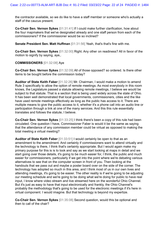the contractor available, so we do like to have a staff member or someone who's actually a staff of the caucus present.

**Co-Chair Sen. Vernon Sykes** [01:31:41] If I could make further clarification, how about the four mapmakers that we've designated already and one staff person from each of the commissioners? If the commissioner would be so inclined?

**Senate President Sen. Matt Huffman** [01:31:56] Yeah, that's that's fine with me.

**Co-Chair Sen. Vernon Sykes** [01:32:00] Right. Any other on readiness? All in favor of the motion to signify by saying, aye,.

**COMMISSIONERS** [01:32:08] Aye

**Co-Chair Sen. Vernon Sykes** [01:32:09] All of those opposed? so ordered. Is there other items to be bought before the commission today?

**Auditor of State Keith Faber** [01:32:26] Mr. Chairman, I would make a motion to amend Rule 3 specifically to allow the option of remote meetings. As most everybody in this room knows, the Legislature passed a statute allowing remote meetings, I believe we would be subject to that statute. That is a section that is being used widely across the state of Ohio. It has been well demonstrated that local governments, commissioners, cities and the like have used remote meetings effectively as long as the public has access to it. There are multiple means to give the public access to it, whether it's a phone call into an audio line or participation through a link at one of the many services. And this this rule essentially translates and follows the statute, I believe.

**Co-Chair Sen. Vernon Sykes** [01:33:25] I think there's been a copy of this rule had been circulated. One question I have, Commissioner Faber is would it be the same as saying that the attendance of any commission member could be virtual as opposed to making the total meeting a virtual meeting?

**Auditor of State Keith Faber** [01:33:51] I would certainly be open to that as an amendment to the amendment. And certainly if commissioners want to attend virtually and the technology is there, I think that's certainly appropriate. But I would again make my primary purpose for this is is to look and say as we start looking at maps in detail and we start going over those details, it's going to be much easier for, I think, the public and much easier for commissioners, particularly if we get into the point where we're debating various alternatives to see that on the computer screen in front of you. Then looking at the handouts that we pass out and maybe a poster board over on the side of the corner. The technology has adopted so much in this area, and I think most of us in our own lives and attending meetings, it's going to be easier. The other reality is if we're going to be adjusting our meeting schedule and we're going to be doing what we're doing for public to have real input, I know where video stream and live streamed here on the wonderful Ohio Channel. But it's just as easy to have that input electronically and frankly, the Ohio Channel's probably the methodology that's going to be used for the electronic meetings if it's here in virtual component. I would imagine. But that technology is beyond my expertize.

**Co-Chair Sen. Vernon Sykes** [01:35:08] Second question, would this be optional and then to call of the chair?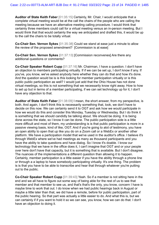**Auditor of State Keith Faber** [01:35:15] Certainly, Mr. Chair, I would anticipate that a complete virtual meeting would be at the call the chairs of the people who are calling the meeting because we have an alternative meeting calling procedure. I would think that certainly three members could call for a virtual meeting versus an in-person meeting. But I would think that that would certainly the way we anticipated and drafted this, it would be up to the call the chairs to be totally virtual.

**Co-Chair Sen. Vernon Sykes** [01:35:38] Could we stand at ease just a minute to allow the review of the proposed amendment? [Commission is at ease]

**Co-Chair Sen. Vernon Sykes** [01:37:13] [Commission reconvenes] Are there any additional questions or comments?

**Co-Chair Speaker Robert Cupp** [01:37:16] Mr. Chairman, I have a question. I don't have an objection to members participating virtually. If if we can be set up, I don't know if any. If you've, you know, we've asked anybody here whether they can do that and how it's done. And the question would be is is this looking for member participation virtually or is this public public participation as well? I would just add that the Ohio House has not done virtual meetings, so this is not something that we necessarily know right away. How to how to set up but in terms of a member participating, if we can set technology up for it, I don't have any objection to that.

**Auditor of State Keith Faber** [01:38:09] I mean, the short answer, from my perspective, is both. And again, I don't think this is necessarily something that, look, we don't have to decide on this now. We can certainly send it to OGT and ask how we would participate in how we would do this and consider this Monday, Tuesday or Wednesday. But I do think it is something that we should candidly be talking about. We should be doing. It is being done across the state, so I know it can be done. The public participation side is a little more difficult and most of them, my understanding is is that public participation is more in a passive viewing basis, kind of like, OGT. And if you're going to alot of testimony, you have an open ability to open that up like you do on a Zoom call or a WebEx or another other platform. We have a participation model that we've used in the auditor's office. I believe it's through WebEx where we've had meetings as many as thousand participants and you have the ability to take questions and have dialog. So I know it's doable. I know our technology that we have in the office does it, I can't imagine that OGT and or your people over here don't have that capacity, but it is something that is available. But I don't disagree. The nuances of the implementations a different question than allowing it to happen. Certainly, member participation is a little easier if you have the ability through a phone line or through a a laptop to have somebody participating virtually. It's one thing. The problem is is that you have to be able to transcribe and hear that through whatever you're putting out to the public.

**Co-Chair Speaker Robert Cupp** [01:39:43] Yeah. So if a member is not sitting here in the end and we all have to figure out some way of being able for the rest of us to see that member and that member to see us, and that's that's the only, you know, concern I have is maybe time to work that out. I do know when we had public hearings back in August or maybe a little later than that, we did have a remote, before for public participation, part of the public hearing. So that part was actually a little easier to do. And what this is, but we can certainly if if you want to hold it so we can see, you know, how we can do that. I don't have an objection to doing it.